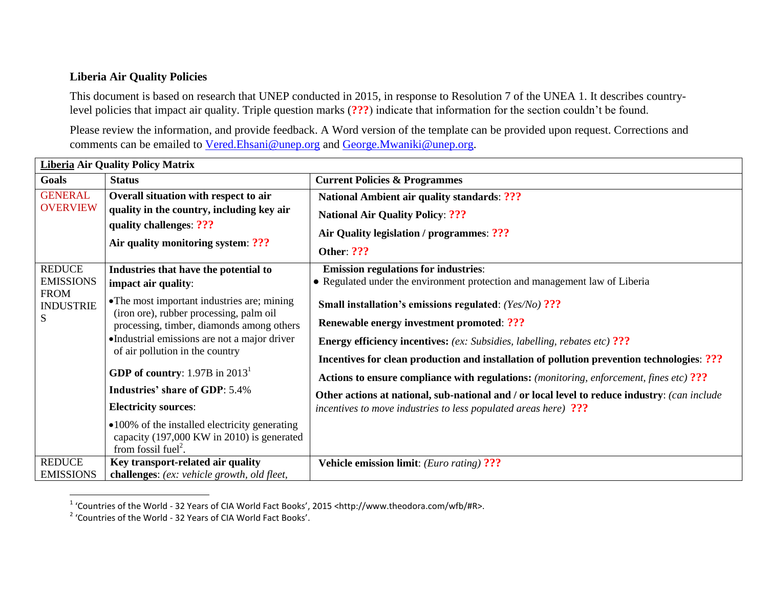## **Liberia Air Quality Policies**

This document is based on research that UNEP conducted in 2015, in response to Resolution 7 of the UNEA 1. It describes countrylevel policies that impact air quality. Triple question marks (**???**) indicate that information for the section couldn't be found.

Please review the information, and provide feedback. A Word version of the template can be provided upon request. Corrections and comments can be emailed to [Vered.Ehsani@unep.org](mailto:Vered.Ehsani@unep.org) and [George.Mwaniki@unep.org.](mailto:George.Mwaniki@unep.org)

| <b>Liberia Air Quality Policy Matrix</b> |                                                                                        |                                                                                                                           |  |
|------------------------------------------|----------------------------------------------------------------------------------------|---------------------------------------------------------------------------------------------------------------------------|--|
| Goals                                    | <b>Status</b>                                                                          | <b>Current Policies &amp; Programmes</b>                                                                                  |  |
| <b>GENERAL</b>                           | Overall situation with respect to air                                                  | <b>National Ambient air quality standards: ???</b>                                                                        |  |
| <b>OVERVIEW</b>                          | quality in the country, including key air                                              | <b>National Air Quality Policy: ???</b>                                                                                   |  |
|                                          | quality challenges: ???<br>Air quality monitoring system: ???                          | Air Quality legislation / programmes: ???                                                                                 |  |
|                                          |                                                                                        | <b>Other: ???</b>                                                                                                         |  |
| <b>REDUCE</b>                            |                                                                                        |                                                                                                                           |  |
| <b>EMISSIONS</b>                         | Industries that have the potential to<br>impact air quality:                           | <b>Emission regulations for industries:</b><br>• Regulated under the environment protection and management law of Liberia |  |
| <b>FROM</b>                              |                                                                                        |                                                                                                                           |  |
| <b>INDUSTRIE</b>                         | • The most important industries are; mining<br>(iron ore), rubber processing, palm oil | Small installation's emissions regulated: (Yes/No) ???                                                                    |  |
| S                                        | processing, timber, diamonds among others                                              | <b>Renewable energy investment promoted: ???</b>                                                                          |  |
|                                          | •Industrial emissions are not a major driver                                           | <b>Energy efficiency incentives:</b> (ex: Subsidies, labelling, rebates etc) ???                                          |  |
|                                          | of air pollution in the country                                                        | Incentives for clean production and installation of pollution prevention technologies: ???                                |  |
|                                          | <b>GDP</b> of country: $1.97B$ in $20131$                                              | <b>Actions to ensure compliance with regulations:</b> (monitoring, enforcement, fines etc) ???                            |  |
|                                          | <b>Industries' share of GDP: 5.4%</b>                                                  | Other actions at national, sub-national and / or local level to reduce industry: (can include                             |  |
|                                          | <b>Electricity sources:</b>                                                            | incentives to move industries to less populated areas here) ???                                                           |  |
|                                          | •100% of the installed electricity generating                                          |                                                                                                                           |  |
|                                          | capacity (197,000 KW in 2010) is generated                                             |                                                                                                                           |  |
| <b>REDUCE</b>                            | from fossil fuel <sup>2</sup> .<br>Key transport-related air quality                   |                                                                                                                           |  |
| <b>EMISSIONS</b>                         | challenges: (ex: vehicle growth, old fleet,                                            | <b>Vehicle emission limit:</b> ( <i>Euro rating</i> ) ???                                                                 |  |

 1 'Countries of the World - 32 Years of CIA World Fact Books', 2015 <http://www.theodora.com/wfb/#R>.

<sup>&</sup>lt;sup>2</sup> 'Countries of the World - 32 Years of CIA World Fact Books'.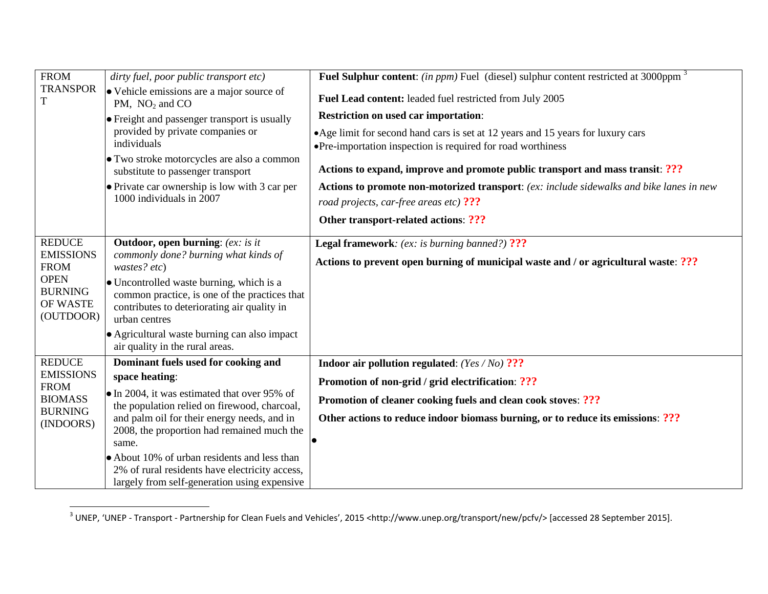| <b>FROM</b>                                                                          | dirty fuel, poor public transport etc)                                                                                                                    | <b>Fuel Sulphur content:</b> (in ppm) Fuel (diesel) sulphur content restricted at 3000ppm <sup>3</sup>                                           |
|--------------------------------------------------------------------------------------|-----------------------------------------------------------------------------------------------------------------------------------------------------------|--------------------------------------------------------------------------------------------------------------------------------------------------|
| <b>TRANSPOR</b>                                                                      | • Vehicle emissions are a major source of<br>PM, $NO2$ and CO                                                                                             | Fuel Lead content: leaded fuel restricted from July 2005                                                                                         |
|                                                                                      | • Freight and passenger transport is usually                                                                                                              | <b>Restriction on used car importation:</b>                                                                                                      |
|                                                                                      | provided by private companies or<br>individuals                                                                                                           | • Age limit for second hand cars is set at 12 years and 15 years for luxury cars<br>• Pre-importation inspection is required for road worthiness |
|                                                                                      | • Two stroke motorcycles are also a common<br>substitute to passenger transport                                                                           | Actions to expand, improve and promote public transport and mass transit: ???                                                                    |
|                                                                                      | • Private car ownership is low with 3 car per<br>1000 individuals in 2007                                                                                 | Actions to promote non-motorized transport: (ex: include sidewalks and bike lanes in new                                                         |
|                                                                                      |                                                                                                                                                           | road projects, car-free areas etc) ???                                                                                                           |
|                                                                                      |                                                                                                                                                           | Other transport-related actions: ???                                                                                                             |
| <b>REDUCE</b>                                                                        | <b>Outdoor, open burning:</b> (ex: is it                                                                                                                  | <b>Legal framework:</b> (ex: is burning banned?) ???                                                                                             |
| <b>EMISSIONS</b><br><b>FROM</b>                                                      | commonly done? burning what kinds of<br>wastes? etc)                                                                                                      | Actions to prevent open burning of municipal waste and / or agricultural waste: ???                                                              |
| <b>OPEN</b><br><b>BURNING</b><br>OF WASTE<br>(OUTDOOR)                               | • Uncontrolled waste burning, which is a<br>common practice, is one of the practices that<br>contributes to deteriorating air quality in<br>urban centres |                                                                                                                                                  |
|                                                                                      | • Agricultural waste burning can also impact<br>air quality in the rural areas.                                                                           |                                                                                                                                                  |
| <b>REDUCE</b><br><b>EMISSIONS</b><br><b>FROM</b><br><b>BIOMASS</b><br><b>BURNING</b> | Dominant fuels used for cooking and                                                                                                                       | Indoor air pollution regulated: $(Yes/No)$ ???                                                                                                   |
|                                                                                      | space heating:                                                                                                                                            | Promotion of non-grid / grid electrification: ???                                                                                                |
|                                                                                      | $\bullet$ In 2004, it was estimated that over 95% of<br>the population relied on firewood, charcoal,                                                      | Promotion of cleaner cooking fuels and clean cook stoves: ???                                                                                    |
| (INDOORS)                                                                            | and palm oil for their energy needs, and in                                                                                                               | Other actions to reduce indoor biomass burning, or to reduce its emissions: ???                                                                  |
|                                                                                      | 2008, the proportion had remained much the<br>same.                                                                                                       |                                                                                                                                                  |
|                                                                                      | • About 10% of urban residents and less than<br>2% of rural residents have electricity access,<br>largely from self-generation using expensive            |                                                                                                                                                  |

 3 UNEP, 'UNEP - Transport - Partnership for Clean Fuels and Vehicles', 2015 <http://www.unep.org/transport/new/pcfv/> [accessed 28 September 2015].